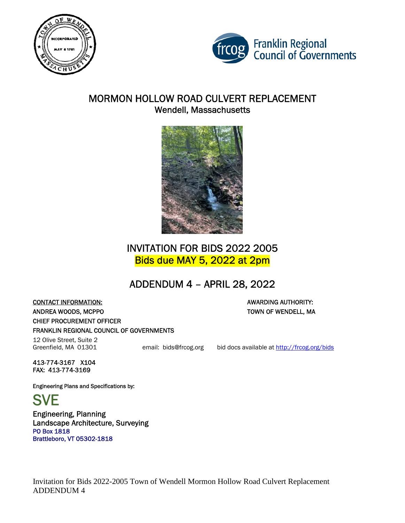



## MORMON HOLLOW ROAD CULVERT REPLACEMENT Wendell, Massachusetts



# INVITATION FOR BIDS 2022 2005 Bids due MAY 5, 2022 at 2pm

# ADDENDUM 4 – APRIL 28, 2022

**CONTACT INFORMATION:**  AWARDING AUTHORITY: ANDREA WOODS, MCPPO TOWN OF WENDELL, MA CHIEF PROCUREMENT OFFICER FRANKLIN REGIONAL COUNCIL OF GOVERNMENTS

12 Olive Street, Suite 2 Greenfield, MA 01301 email: bids@frcog.org bid docs available at http://frcog.org/bids

413-774-3167 X104 FAX: 413-774-3169

Engineering Plans and Specifications by:

**SVE** 

Engineering, Planning Landscape Architecture, Surveying PO Box 1818 Brattleboro, VT 05302-1818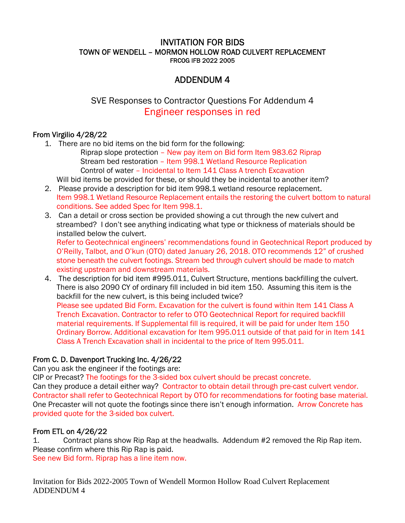#### INVITATION FOR BIDS TOWN OF WENDELL – MORMON HOLLOW ROAD CULVERT REPLACEMENT FRCOG IFB 2022 2005

## ADDENDUM 4

SVE Responses to Contractor Questions For Addendum 4 Engineer responses in red

#### From Virgilio 4/28/22

- 1. There are no bid items on the bid form for the following:
	- Riprap slope protection New pay item on Bid form Item 983.62 Riprap Stream bed restoration – Item 998.1 Wetland Resource Replication Control of water – Incidental to Item 141 Class A trench Excavation

Will bid items be provided for these, or should they be incidental to another item?

- 2. Please provide a description for bid item 998.1 wetland resource replacement. Item 998.1 Wetland Resource Replacement entails the restoring the culvert bottom to natural conditions. See added Spec for Item 998.1.
- 3. Can a detail or cross section be provided showing a cut through the new culvert and streambed? I don't see anything indicating what type or thickness of materials should be installed below the culvert.

Refer to Geotechnical engineers' recommendations found in Geotechnical Report produced by O'Reilly, Talbot, and O'kun (OTO) dated January 26, 2018. OTO recommends 12" of crushed stone beneath the culvert footings. Stream bed through culvert should be made to match existing upstream and downstream materials.

4. The description for bid item #995.011, Culvert Structure, mentions backfilling the culvert. There is also 2090 CY of ordinary fill included in bid item 150. Assuming this item is the backfill for the new culvert, is this being included twice? Please see updated Bid Form. Excavation for the culvert is found within Item 141 Class A Trench Excavation. Contractor to refer to OTO Geotechnical Report for required backfill material requirements. If Supplemental fill is required, it will be paid for under Item 150 Ordinary Borrow. Additional excavation for Item 995.011 outside of that paid for in Item 141 Class A Trench Excavation shall in incidental to the price of Item 995.011.

### From C. D. Davenport Trucking Inc. 4/26/22

Can you ask the engineer if the footings are:

CIP or Precast? The footings for the 3-sided box culvert should be precast concrete. Can they produce a detail either way? Contractor to obtain detail through pre-cast culvert vendor. Contractor shall refer to Geotechnical Report by OTO for recommendations for footing base material. One Precaster will not quote the footings since there isn't enough information. Arrow Concrete has provided quote for the 3-sided box culvert.

#### From ETL on 4/26/22

1. Contract plans show Rip Rap at the headwalls. Addendum #2 removed the Rip Rap item. Please confirm where this Rip Rap is paid. See new Bid form. Riprap has a line item now.

Invitation for Bids 2022-2005 Town of Wendell Mormon Hollow Road Culvert Replacement ADDENDUM 4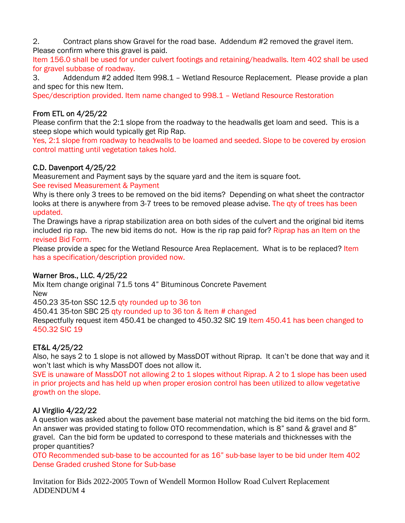2. Contract plans show Gravel for the road base. Addendum #2 removed the gravel item. Please confirm where this gravel is paid.

Item 156.0 shall be used for under culvert footings and retaining/headwalls. Item 402 shall be used for gravel subbase of roadway.

3. Addendum #2 added Item 998.1 – Wetland Resource Replacement. Please provide a plan and spec for this new Item.

Spec/description provided. Item name changed to 998.1 – Wetland Resource Restoration

### From ETL on 4/25/22

Please confirm that the 2:1 slope from the roadway to the headwalls get loam and seed. This is a steep slope which would typically get Rip Rap.

Yes, 2:1 slope from roadway to headwalls to be loamed and seeded. Slope to be covered by erosion control matting until vegetation takes hold.

#### C.D. Davenport 4/25/22

Measurement and Payment says by the square yard and the item is square foot.

See revised Measurement & Payment

Why is there only 3 trees to be removed on the bid items? Depending on what sheet the contractor looks at there is anywhere from 3-7 trees to be removed please advise. The qty of trees has been updated.

The Drawings have a riprap stabilization area on both sides of the culvert and the original bid items included rip rap. The new bid items do not. How is the rip rap paid for? Riprap has an Item on the revised Bid Form.

Please provide a spec for the Wetland Resource Area Replacement. What is to be replaced? Item has a specification/description provided now.

#### Warner Bros., LLC. 4/25/22

Mix Item change original 71.5 tons 4" Bituminous Concrete Pavement New

450.23 35-ton SSC 12.5 qty rounded up to 36 ton

450.41 35-ton SBC 25 qty rounded up to 36 ton & Item # changed

Respectfully request item 450.41 be changed to 450.32 SIC 19 Item 450.41 has been changed to 450.32 SIC 19

### ET&L 4/25/22

Also, he says 2 to 1 slope is not allowed by MassDOT without Riprap. It can't be done that way and it won't last which is why MassDOT does not allow it.

SVE is unaware of MassDOT not allowing 2 to 1 slopes without Riprap. A 2 to 1 slope has been used in prior projects and has held up when proper erosion control has been utilized to allow vegetative growth on the slope.

#### AJ Virgilio 4/22/22

A question was asked about the pavement base material not matching the bid items on the bid form. An answer was provided stating to follow OTO recommendation, which is 8" sand & gravel and 8" gravel. Can the bid form be updated to correspond to these materials and thicknesses with the proper quantities?

OTO Recommended sub-base to be accounted for as 16" sub-base layer to be bid under Item 402 Dense Graded crushed Stone for Sub-base

Invitation for Bids 2022-2005 Town of Wendell Mormon Hollow Road Culvert Replacement ADDENDUM 4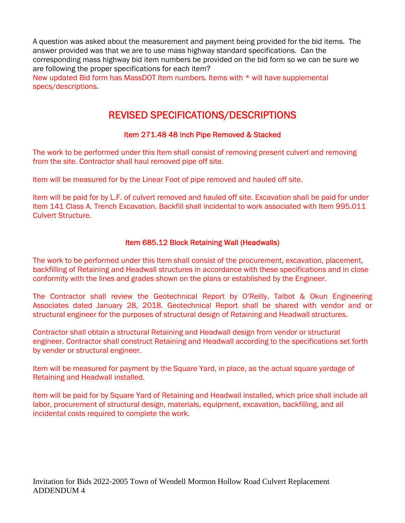A question was asked about the measurement and payment being provided for the bid items. The answer provided was that we are to use mass highway standard specifications. Can the corresponding mass highway bid item numbers be provided on the bid form so we can be sure we are following the proper specifications for each item?

New updated Bid form has MassDOT Item numbers. Items with \* will have supplemental specs/descriptions.

# REVISED SPECIFICATIONS/DESCRIPTIONS

#### Item 271.48 48 Inch Pipe Removed & Stacked

The work to be performed under this Item shall consist of removing present culvert and removing from the site. Contractor shall haul removed pipe off site.

Item will be measured for by the Linear Foot of pipe removed and hauled off site.

Item will be paid for by L.F. of culvert removed and hauled off site. Excavation shall be paid for under Item 141 Class A. Trench Excavation. Backfill shall incidental to work associated with Item 995.011 Culvert Structure.

#### Item 685.12 Block Retaining Wall (Headwalls)

The work to be performed under this Item shall consist of the procurement, excavation, placement, backfilling of Retaining and Headwall structures in accordance with these specifications and in close conformity with the lines and grades shown on the plans or established by the Engineer.

The Contractor shall review the Geotechnical Report by O'Reilly, Talbot & Okun Engineering Associates dated January 28, 2018. Geotechnical Report shall be shared with vendor and or structural engineer for the purposes of structural design of Retaining and Headwall structures.

Contractor shall obtain a structural Retaining and Headwall design from vendor or structural engineer. Contractor shall construct Retaining and Headwall according to the specifications set forth by vender or structural engineer.

Item will be measured for payment by the Square Yard, in place, as the actual square yardage of Retaining and Headwall installed.

Item will be paid for by Square Yard of Retaining and Headwall installed, which price shall include all labor, procurement of structural design, materials, equipment, excavation, backfilling, and all incidental costs required to complete the work.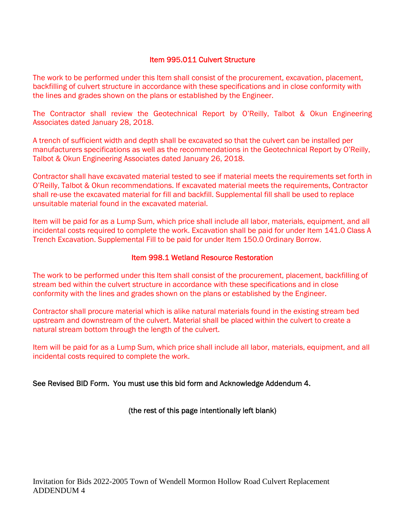#### Item 995.011 Culvert Structure

The work to be performed under this Item shall consist of the procurement, excavation, placement, backfilling of culvert structure in accordance with these specifications and in close conformity with the lines and grades shown on the plans or established by the Engineer.

The Contractor shall review the Geotechnical Report by O'Reilly, Talbot & Okun Engineering Associates dated January 28, 2018.

A trench of sufficient width and depth shall be excavated so that the culvert can be installed per manufacturers specifications as well as the recommendations in the Geotechnical Report by O'Reilly, Talbot & Okun Engineering Associates dated January 26, 2018.

Contractor shall have excavated material tested to see if material meets the requirements set forth in O'Reilly, Talbot & Okun recommendations. If excavated material meets the requirements, Contractor shall re-use the excavated material for fill and backfill. Supplemental fill shall be used to replace unsuitable material found in the excavated material.

Item will be paid for as a Lump Sum, which price shall include all labor, materials, equipment, and all incidental costs required to complete the work. Excavation shall be paid for under Item 141.0 Class A Trench Excavation. Supplemental Fill to be paid for under Item 150.0 Ordinary Borrow.

#### Item 998.1 Wetland Resource Restoration

The work to be performed under this Item shall consist of the procurement, placement, backfilling of stream bed within the culvert structure in accordance with these specifications and in close conformity with the lines and grades shown on the plans or established by the Engineer.

Contractor shall procure material which is alike natural materials found in the existing stream bed upstream and downstream of the culvert. Material shall be placed within the culvert to create a natural stream bottom through the length of the culvert.

Item will be paid for as a Lump Sum, which price shall include all labor, materials, equipment, and all incidental costs required to complete the work.

See Revised BID Form. You must use this bid form and Acknowledge Addendum 4.

(the rest of this page intentionally left blank)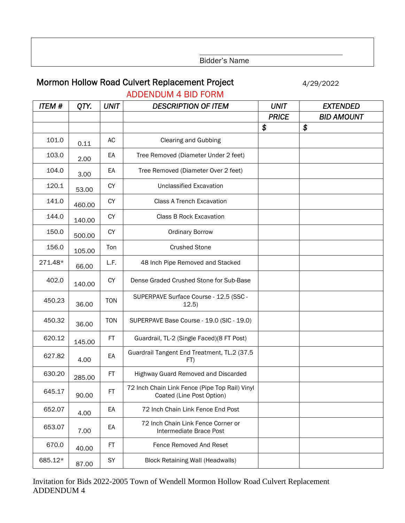Bidder's Name

# Mormon Hollow Road Culvert Replacement Project 4/29/2022

| <b>ITEM#</b> | QTY.   | <b>UNIT</b> | <b>DESCRIPTION OF ITEM</b>                                                  | <b>UNIT</b>  | <b>EXTENDED</b>   |
|--------------|--------|-------------|-----------------------------------------------------------------------------|--------------|-------------------|
|              |        |             |                                                                             | <b>PRICE</b> | <b>BID AMOUNT</b> |
|              |        |             |                                                                             | \$           | \$                |
| 101.0        | 0.11   | AC          | <b>Clearing and Gubbing</b>                                                 |              |                   |
| 103.0        | 2.00   | EA          | Tree Removed (Diameter Under 2 feet)                                        |              |                   |
| 104.0        | 3.00   | EA          | Tree Removed (Diameter Over 2 feet)                                         |              |                   |
| 120.1        | 53.00  | <b>CY</b>   | <b>Unclassified Excavation</b>                                              |              |                   |
| 141.0        | 460.00 | <b>CY</b>   | <b>Class A Trench Excavation</b>                                            |              |                   |
| 144.0        | 140.00 | <b>CY</b>   | Class B Rock Excavation                                                     |              |                   |
| 150.0        | 500.00 | <b>CY</b>   | <b>Ordinary Borrow</b>                                                      |              |                   |
| 156.0        | 105.00 | Ton         | <b>Crushed Stone</b>                                                        |              |                   |
| 271.48*      | 66.00  | L.F.        | 48 Inch Pipe Removed and Stacked                                            |              |                   |
| 402.0        | 140.00 | <b>CY</b>   | Dense Graded Crushed Stone for Sub-Base                                     |              |                   |
| 450.23       | 36.00  | <b>TON</b>  | SUPERPAVE Surface Course - 12.5 (SSC -<br>12.5)                             |              |                   |
| 450.32       | 36.00  | <b>TON</b>  | SUPERPAVE Base Course - 19.0 (SIC - 19.0)                                   |              |                   |
| 620.12       | 145.00 | FT.         | Guardrail, TL-2 (Single Faced)(8 FT Post)                                   |              |                   |
| 627.82       | 4.00   | EA          | Guardrail Tangent End Treatment, TL.2 (37.5<br>FT)                          |              |                   |
| 630.20       | 285.00 | FT          | Highway Guard Removed and Discarded                                         |              |                   |
| 645.17       | 90.00  | FT.         | 72 Inch Chain Link Fence (Pipe Top Rail) Vinyl<br>Coated (Line Post Option) |              |                   |
| 652.07       | 4.00   | EA          | 72 Inch Chain Link Fence End Post                                           |              |                   |
| 653.07       | 7.00   | EA          | 72 Inch Chain Link Fence Corner or<br>Intermediate Brace Post               |              |                   |
| 670.0        | 40.00  | FT.         | Fence Removed And Reset                                                     |              |                   |
| 685.12*      | 87.00  | SY          | <b>Block Retaining Wall (Headwalls)</b>                                     |              |                   |

ADDENDUM 4 BID FORM

Invitation for Bids 2022-2005 Town of Wendell Mormon Hollow Road Culvert Replacement ADDENDUM 4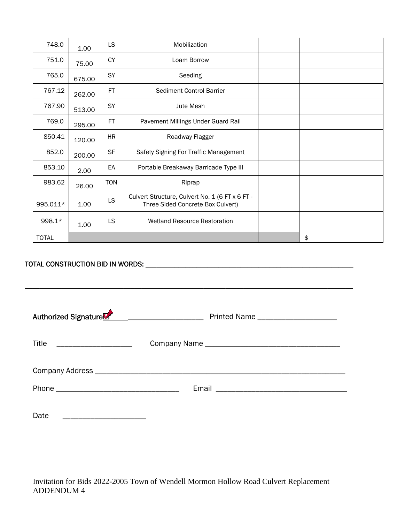| 748.0        | 1.00   | <b>LS</b>  | Mobilization                                                                         |    |
|--------------|--------|------------|--------------------------------------------------------------------------------------|----|
| 751.0        | 75.00  | <b>CY</b>  | Loam Borrow                                                                          |    |
| 765.0        | 675.00 | SY         | Seeding                                                                              |    |
| 767.12       | 262.00 | FT         | Sediment Control Barrier                                                             |    |
| 767.90       | 513.00 | SY         | <b>Jute Mesh</b>                                                                     |    |
| 769.0        | 295.00 | FT.        | Pavement Millings Under Guard Rail                                                   |    |
| 850.41       | 120.00 | <b>HR</b>  | Roadway Flagger                                                                      |    |
| 852.0        | 200.00 | <b>SF</b>  | Safety Signing For Traffic Management                                                |    |
| 853.10       | 2.00   | EA         | Portable Breakaway Barricade Type III                                                |    |
| 983.62       | 26.00  | <b>TON</b> | Riprap                                                                               |    |
| 995.011*     | 1.00   | <b>LS</b>  | Culvert Structure, Culvert No. 1 (6 FT x 6 FT -<br>Three Sided Concrete Box Culvert) |    |
| 998.1*       | 1.00   | LS.        | <b>Wetland Resource Restoration</b>                                                  |    |
| <b>TOTAL</b> |        |            |                                                                                      | \$ |

### TOTAL CONSTRUCTION BID IN WORDS: \_\_\_\_\_\_\_\_\_\_\_\_\_\_\_\_\_\_\_\_\_\_\_\_\_\_\_\_\_\_\_\_\_\_\_\_\_\_\_\_\_\_\_\_\_\_\_\_\_\_\_\_\_\_\_\_\_

| Authorized Signature |  |
|----------------------|--|
| Title                |  |
|                      |  |
|                      |  |
| Date                 |  |

\_\_\_\_\_\_\_\_\_\_\_\_\_\_\_\_\_\_\_\_\_\_\_\_\_\_\_\_\_\_\_\_\_\_\_\_\_\_\_\_\_\_\_\_\_\_\_\_\_\_\_\_\_\_\_\_\_\_\_\_\_\_\_\_\_\_\_\_\_\_\_\_\_\_\_\_\_\_\_\_\_\_\_\_\_\_\_\_\_\_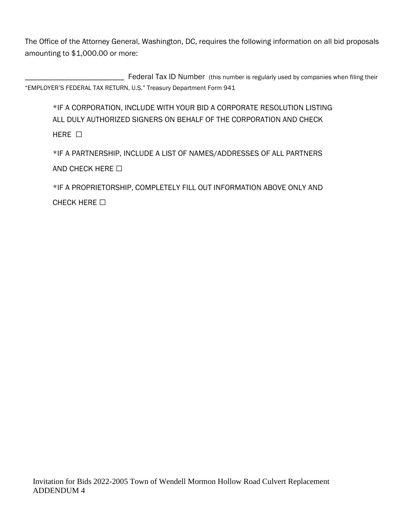The Office of the Attorney General, Washington, DC, requires the following information on all bid proposals amounting to \$1,000.00 or more:

\_\_\_\_\_\_\_\_\_\_\_\_\_\_\_\_\_\_\_\_\_\_\_\_\_ Federal Tax ID Number (this number is regularly used by companies when filing their "EMPLOYER'S FEDERAL TAX RETURN, U.S." Treasury Department Form 941

\*IF A CORPORATION, INCLUDE WITH YOUR BID A CORPORATE RESOLUTION LISTING ALL DULY AUTHORIZED SIGNERS ON BEHALF OF THE CORPORATION AND CHECK  $HFRF$   $\Box$ 

\*IF A PARTNERSHIP, INCLUDE A LIST OF NAMES/ADDRESSES OF ALL PARTNERS AND CHECK HERE □

\*IF A PROPRIETORSHIP, COMPLETELY FILL OUT INFORMATION ABOVE ONLY AND CHECK HERE □